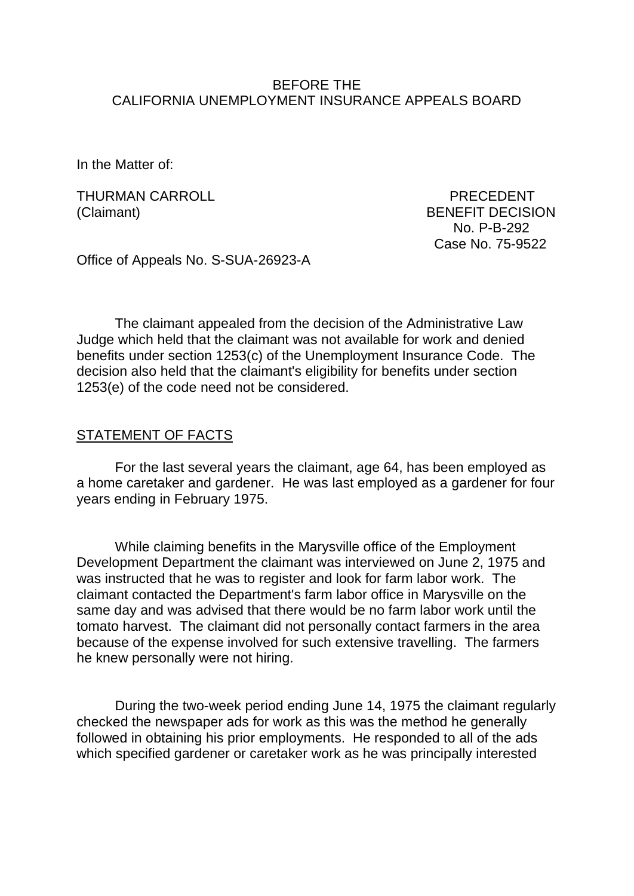#### BEFORE THE CALIFORNIA UNEMPLOYMENT INSURANCE APPEALS BOARD

In the Matter of:

THURMAN CARROLL **PRECEDENT** (Claimant) BENEFIT DECISION

 No. P-B-292 Case No. 75-9522

Office of Appeals No. S-SUA-26923-A

The claimant appealed from the decision of the Administrative Law Judge which held that the claimant was not available for work and denied benefits under section 1253(c) of the Unemployment Insurance Code. The decision also held that the claimant's eligibility for benefits under section 1253(e) of the code need not be considered.

#### STATEMENT OF FACTS

For the last several years the claimant, age 64, has been employed as a home caretaker and gardener. He was last employed as a gardener for four years ending in February 1975.

While claiming benefits in the Marysville office of the Employment Development Department the claimant was interviewed on June 2, 1975 and was instructed that he was to register and look for farm labor work. The claimant contacted the Department's farm labor office in Marysville on the same day and was advised that there would be no farm labor work until the tomato harvest. The claimant did not personally contact farmers in the area because of the expense involved for such extensive travelling. The farmers he knew personally were not hiring.

During the two-week period ending June 14, 1975 the claimant regularly checked the newspaper ads for work as this was the method he generally followed in obtaining his prior employments. He responded to all of the ads which specified gardener or caretaker work as he was principally interested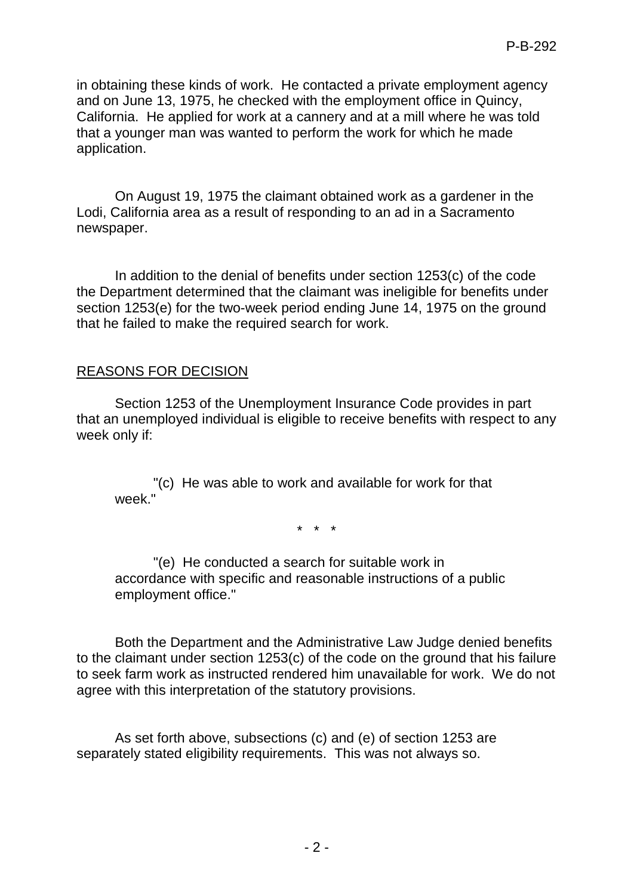in obtaining these kinds of work. He contacted a private employment agency and on June 13, 1975, he checked with the employment office in Quincy, California. He applied for work at a cannery and at a mill where he was told that a younger man was wanted to perform the work for which he made application.

On August 19, 1975 the claimant obtained work as a gardener in the Lodi, California area as a result of responding to an ad in a Sacramento newspaper.

In addition to the denial of benefits under section 1253(c) of the code the Department determined that the claimant was ineligible for benefits under section 1253(e) for the two-week period ending June 14, 1975 on the ground that he failed to make the required search for work.

## REASONS FOR DECISION

Section 1253 of the Unemployment Insurance Code provides in part that an unemployed individual is eligible to receive benefits with respect to any week only if:

"(c) He was able to work and available for work for that week

\* \* \*

"(e) He conducted a search for suitable work in accordance with specific and reasonable instructions of a public employment office."

Both the Department and the Administrative Law Judge denied benefits to the claimant under section 1253(c) of the code on the ground that his failure to seek farm work as instructed rendered him unavailable for work. We do not agree with this interpretation of the statutory provisions.

As set forth above, subsections (c) and (e) of section 1253 are separately stated eligibility requirements. This was not always so.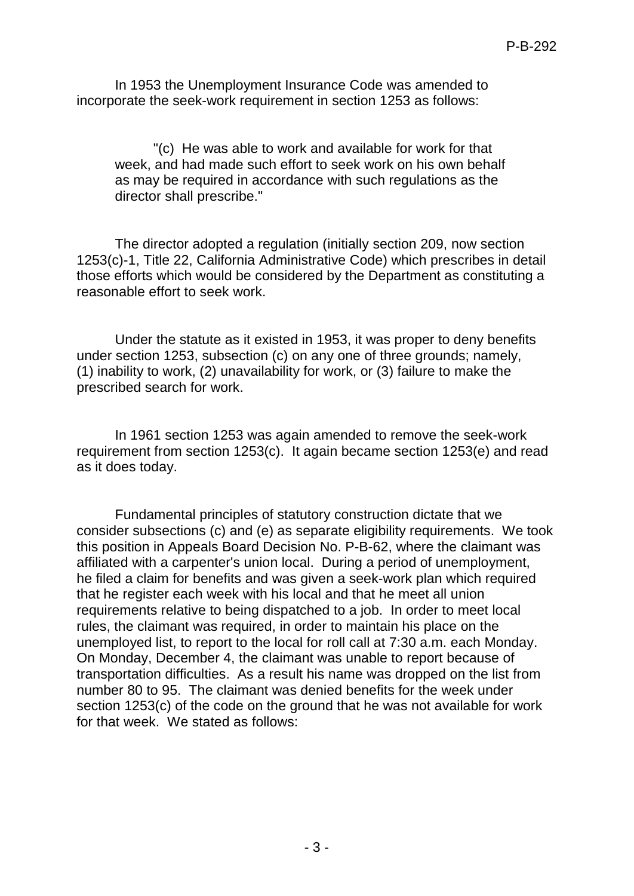In 1953 the Unemployment Insurance Code was amended to incorporate the seek-work requirement in section 1253 as follows:

"(c) He was able to work and available for work for that week, and had made such effort to seek work on his own behalf as may be required in accordance with such regulations as the director shall prescribe."

The director adopted a regulation (initially section 209, now section 1253(c)-1, Title 22, California Administrative Code) which prescribes in detail those efforts which would be considered by the Department as constituting a reasonable effort to seek work.

Under the statute as it existed in 1953, it was proper to deny benefits under section 1253, subsection (c) on any one of three grounds; namely, (1) inability to work, (2) unavailability for work, or (3) failure to make the prescribed search for work.

In 1961 section 1253 was again amended to remove the seek-work requirement from section 1253(c). It again became section 1253(e) and read as it does today.

Fundamental principles of statutory construction dictate that we consider subsections (c) and (e) as separate eligibility requirements. We took this position in Appeals Board Decision No. P-B-62, where the claimant was affiliated with a carpenter's union local. During a period of unemployment, he filed a claim for benefits and was given a seek-work plan which required that he register each week with his local and that he meet all union requirements relative to being dispatched to a job. In order to meet local rules, the claimant was required, in order to maintain his place on the unemployed list, to report to the local for roll call at 7:30 a.m. each Monday. On Monday, December 4, the claimant was unable to report because of transportation difficulties. As a result his name was dropped on the list from number 80 to 95. The claimant was denied benefits for the week under section 1253(c) of the code on the ground that he was not available for work for that week. We stated as follows: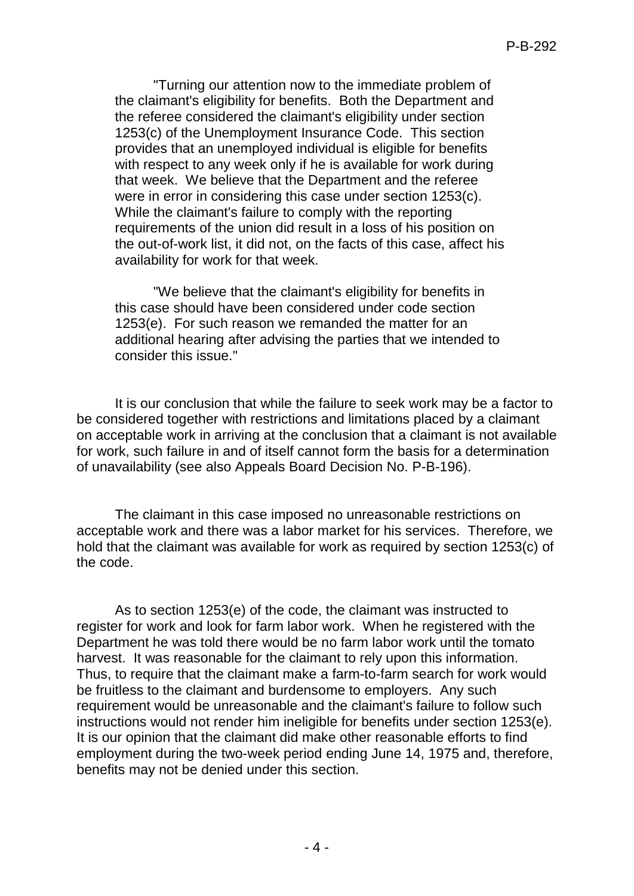"Turning our attention now to the immediate problem of the claimant's eligibility for benefits. Both the Department and the referee considered the claimant's eligibility under section 1253(c) of the Unemployment Insurance Code. This section provides that an unemployed individual is eligible for benefits with respect to any week only if he is available for work during that week. We believe that the Department and the referee were in error in considering this case under section 1253(c). While the claimant's failure to comply with the reporting requirements of the union did result in a loss of his position on the out-of-work list, it did not, on the facts of this case, affect his availability for work for that week.

"We believe that the claimant's eligibility for benefits in this case should have been considered under code section 1253(e). For such reason we remanded the matter for an additional hearing after advising the parties that we intended to consider this issue."

It is our conclusion that while the failure to seek work may be a factor to be considered together with restrictions and limitations placed by a claimant on acceptable work in arriving at the conclusion that a claimant is not available for work, such failure in and of itself cannot form the basis for a determination of unavailability (see also Appeals Board Decision No. P-B-196).

The claimant in this case imposed no unreasonable restrictions on acceptable work and there was a labor market for his services. Therefore, we hold that the claimant was available for work as required by section 1253(c) of the code.

As to section 1253(e) of the code, the claimant was instructed to register for work and look for farm labor work. When he registered with the Department he was told there would be no farm labor work until the tomato harvest. It was reasonable for the claimant to rely upon this information. Thus, to require that the claimant make a farm-to-farm search for work would be fruitless to the claimant and burdensome to employers. Any such requirement would be unreasonable and the claimant's failure to follow such instructions would not render him ineligible for benefits under section 1253(e). It is our opinion that the claimant did make other reasonable efforts to find employment during the two-week period ending June 14, 1975 and, therefore, benefits may not be denied under this section.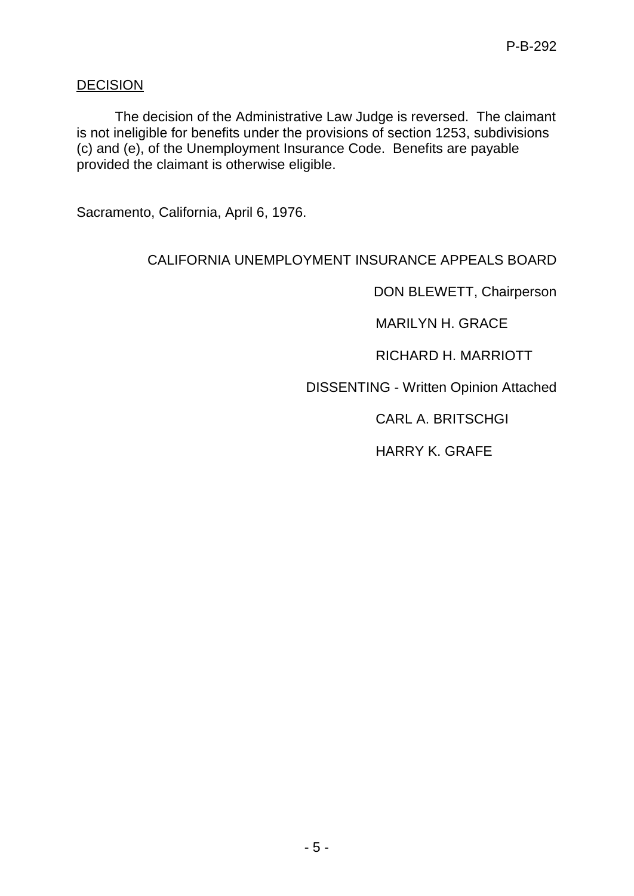# **DECISION**

The decision of the Administrative Law Judge is reversed. The claimant is not ineligible for benefits under the provisions of section 1253, subdivisions (c) and (e), of the Unemployment Insurance Code. Benefits are payable provided the claimant is otherwise eligible.

Sacramento, California, April 6, 1976.

# CALIFORNIA UNEMPLOYMENT INSURANCE APPEALS BOARD

DON BLEWETT, Chairperson

MARILYN H. GRACE

RICHARD H. MARRIOTT

DISSENTING - Written Opinion Attached

CARL A. BRITSCHGI

HARRY K. GRAFE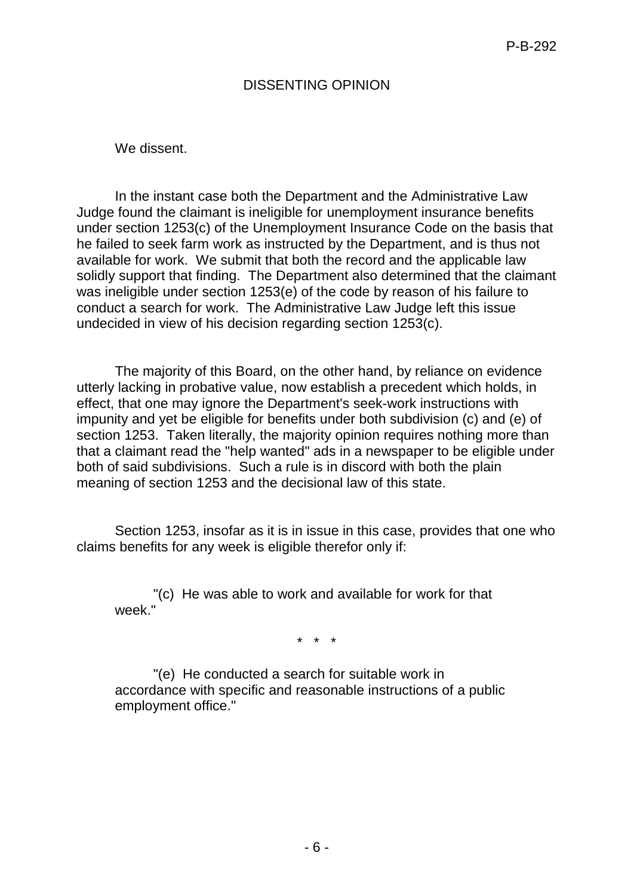# DISSENTING OPINION

We dissent.

In the instant case both the Department and the Administrative Law Judge found the claimant is ineligible for unemployment insurance benefits under section 1253(c) of the Unemployment Insurance Code on the basis that he failed to seek farm work as instructed by the Department, and is thus not available for work. We submit that both the record and the applicable law solidly support that finding. The Department also determined that the claimant was ineligible under section 1253(e) of the code by reason of his failure to conduct a search for work. The Administrative Law Judge left this issue undecided in view of his decision regarding section 1253(c).

The majority of this Board, on the other hand, by reliance on evidence utterly lacking in probative value, now establish a precedent which holds, in effect, that one may ignore the Department's seek-work instructions with impunity and yet be eligible for benefits under both subdivision (c) and (e) of section 1253. Taken literally, the majority opinion requires nothing more than that a claimant read the "help wanted" ads in a newspaper to be eligible under both of said subdivisions. Such a rule is in discord with both the plain meaning of section 1253 and the decisional law of this state.

Section 1253, insofar as it is in issue in this case, provides that one who claims benefits for any week is eligible therefor only if:

"(c) He was able to work and available for work for that week "

\* \* \*

"(e) He conducted a search for suitable work in accordance with specific and reasonable instructions of a public employment office."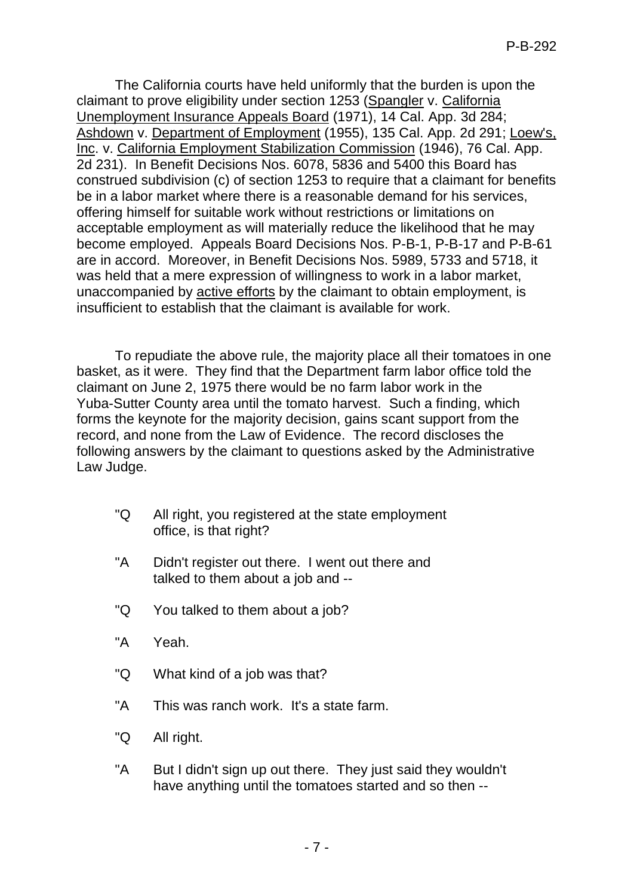The California courts have held uniformly that the burden is upon the claimant to prove eligibility under section 1253 (Spangler v. California Unemployment Insurance Appeals Board (1971), 14 Cal. App. 3d 284; Ashdown v. Department of Employment (1955), 135 Cal. App. 2d 291; Loew's, Inc. v. California Employment Stabilization Commission (1946), 76 Cal. App. 2d 231). In Benefit Decisions Nos. 6078, 5836 and 5400 this Board has construed subdivision (c) of section 1253 to require that a claimant for benefits be in a labor market where there is a reasonable demand for his services, offering himself for suitable work without restrictions or limitations on acceptable employment as will materially reduce the likelihood that he may become employed. Appeals Board Decisions Nos. P-B-1, P-B-17 and P-B-61 are in accord. Moreover, in Benefit Decisions Nos. 5989, 5733 and 5718, it was held that a mere expression of willingness to work in a labor market, unaccompanied by active efforts by the claimant to obtain employment, is insufficient to establish that the claimant is available for work.

To repudiate the above rule, the majority place all their tomatoes in one basket, as it were. They find that the Department farm labor office told the claimant on June 2, 1975 there would be no farm labor work in the Yuba-Sutter County area until the tomato harvest. Such a finding, which forms the keynote for the majority decision, gains scant support from the record, and none from the Law of Evidence. The record discloses the following answers by the claimant to questions asked by the Administrative Law Judge.

- "Q All right, you registered at the state employment office, is that right?
- "A Didn't register out there. I went out there and talked to them about a job and --
- "Q You talked to them about a job?
- "A Yeah.
- "Q What kind of a job was that?
- "A This was ranch work. It's a state farm.
- "Q All right.
- "A But I didn't sign up out there. They just said they wouldn't have anything until the tomatoes started and so then --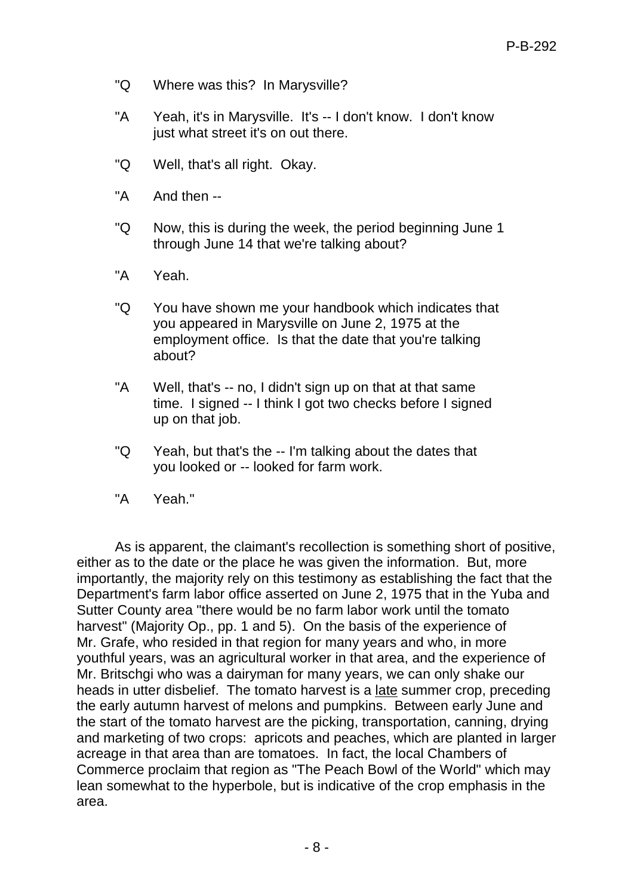- "Q Where was this? In Marysville?
- "A Yeah, it's in Marysville. It's -- I don't know. I don't know just what street it's on out there.
- "Q Well, that's all right. Okay.
- "A And then --
- "Q Now, this is during the week, the period beginning June 1 through June 14 that we're talking about?
- "A Yeah.
- "Q You have shown me your handbook which indicates that you appeared in Marysville on June 2, 1975 at the employment office. Is that the date that you're talking about?
- "A Well, that's -- no, I didn't sign up on that at that same time. I signed -- I think I got two checks before I signed up on that job.
- "Q Yeah, but that's the -- I'm talking about the dates that you looked or -- looked for farm work.
- "A Yeah."

As is apparent, the claimant's recollection is something short of positive, either as to the date or the place he was given the information. But, more importantly, the majority rely on this testimony as establishing the fact that the Department's farm labor office asserted on June 2, 1975 that in the Yuba and Sutter County area "there would be no farm labor work until the tomato harvest" (Majority Op., pp. 1 and 5). On the basis of the experience of Mr. Grafe, who resided in that region for many years and who, in more youthful years, was an agricultural worker in that area, and the experience of Mr. Britschgi who was a dairyman for many years, we can only shake our heads in utter disbelief. The tomato harvest is a late summer crop, preceding the early autumn harvest of melons and pumpkins. Between early June and the start of the tomato harvest are the picking, transportation, canning, drying and marketing of two crops: apricots and peaches, which are planted in larger acreage in that area than are tomatoes. In fact, the local Chambers of Commerce proclaim that region as "The Peach Bowl of the World" which may lean somewhat to the hyperbole, but is indicative of the crop emphasis in the area.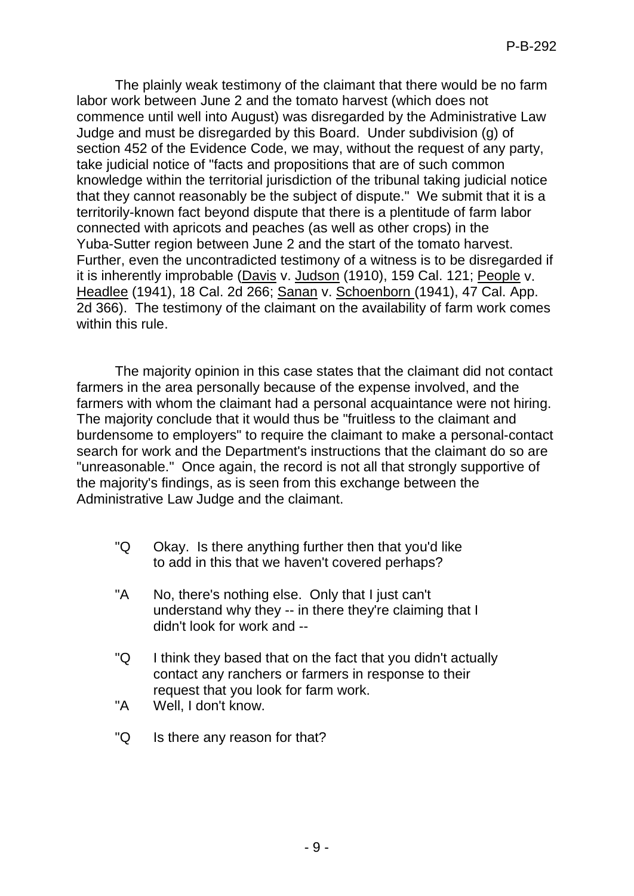The plainly weak testimony of the claimant that there would be no farm labor work between June 2 and the tomato harvest (which does not commence until well into August) was disregarded by the Administrative Law Judge and must be disregarded by this Board. Under subdivision (g) of section 452 of the Evidence Code, we may, without the request of any party, take judicial notice of "facts and propositions that are of such common knowledge within the territorial jurisdiction of the tribunal taking judicial notice that they cannot reasonably be the subject of dispute." We submit that it is a territorily-known fact beyond dispute that there is a plentitude of farm labor connected with apricots and peaches (as well as other crops) in the Yuba-Sutter region between June 2 and the start of the tomato harvest. Further, even the uncontradicted testimony of a witness is to be disregarded if it is inherently improbable (Davis v. Judson (1910), 159 Cal. 121; People v. Headlee (1941), 18 Cal. 2d 266; Sanan v. Schoenborn (1941), 47 Cal. App. 2d 366). The testimony of the claimant on the availability of farm work comes within this rule.

The majority opinion in this case states that the claimant did not contact farmers in the area personally because of the expense involved, and the farmers with whom the claimant had a personal acquaintance were not hiring. The majority conclude that it would thus be "fruitless to the claimant and burdensome to employers" to require the claimant to make a personal-contact search for work and the Department's instructions that the claimant do so are "unreasonable." Once again, the record is not all that strongly supportive of the majority's findings, as is seen from this exchange between the Administrative Law Judge and the claimant.

- "Q Okay. Is there anything further then that you'd like to add in this that we haven't covered perhaps?
- "A No, there's nothing else. Only that I just can't understand why they -- in there they're claiming that I didn't look for work and --
- "Q I think they based that on the fact that you didn't actually contact any ranchers or farmers in response to their request that you look for farm work.
- "A Well, I don't know.
- "Q Is there any reason for that?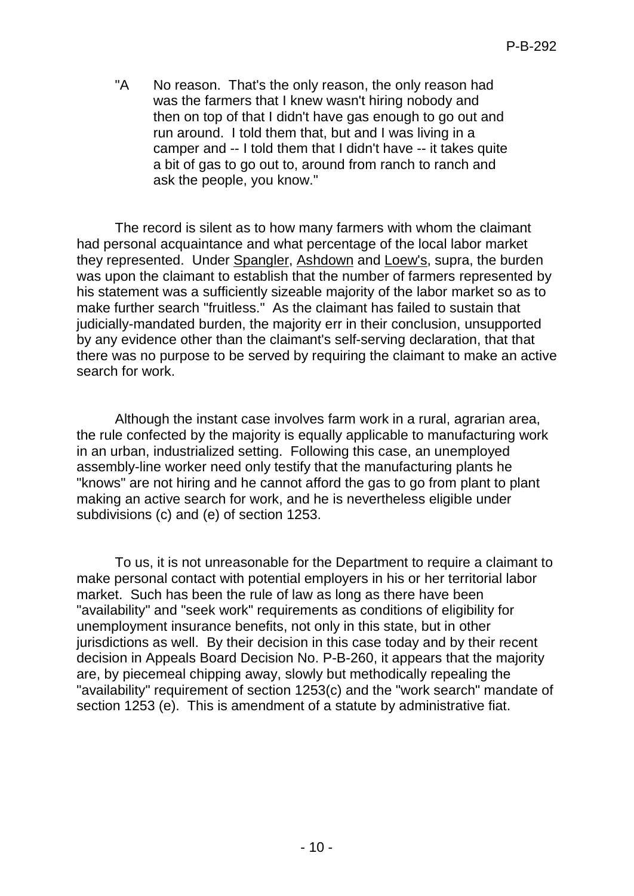"A No reason. That's the only reason, the only reason had was the farmers that I knew wasn't hiring nobody and then on top of that I didn't have gas enough to go out and run around. I told them that, but and I was living in a camper and -- I told them that I didn't have -- it takes quite a bit of gas to go out to, around from ranch to ranch and ask the people, you know."

The record is silent as to how many farmers with whom the claimant had personal acquaintance and what percentage of the local labor market they represented. Under Spangler, Ashdown and Loew's, supra, the burden was upon the claimant to establish that the number of farmers represented by his statement was a sufficiently sizeable majority of the labor market so as to make further search "fruitless." As the claimant has failed to sustain that judicially-mandated burden, the majority err in their conclusion, unsupported by any evidence other than the claimant's self-serving declaration, that that there was no purpose to be served by requiring the claimant to make an active search for work.

Although the instant case involves farm work in a rural, agrarian area, the rule confected by the majority is equally applicable to manufacturing work in an urban, industrialized setting. Following this case, an unemployed assembly-line worker need only testify that the manufacturing plants he "knows" are not hiring and he cannot afford the gas to go from plant to plant making an active search for work, and he is nevertheless eligible under subdivisions (c) and (e) of section 1253.

To us, it is not unreasonable for the Department to require a claimant to make personal contact with potential employers in his or her territorial labor market. Such has been the rule of law as long as there have been "availability" and "seek work" requirements as conditions of eligibility for unemployment insurance benefits, not only in this state, but in other jurisdictions as well. By their decision in this case today and by their recent decision in Appeals Board Decision No. P-B-260, it appears that the majority are, by piecemeal chipping away, slowly but methodically repealing the "availability" requirement of section 1253(c) and the "work search" mandate of section 1253 (e). This is amendment of a statute by administrative fiat.